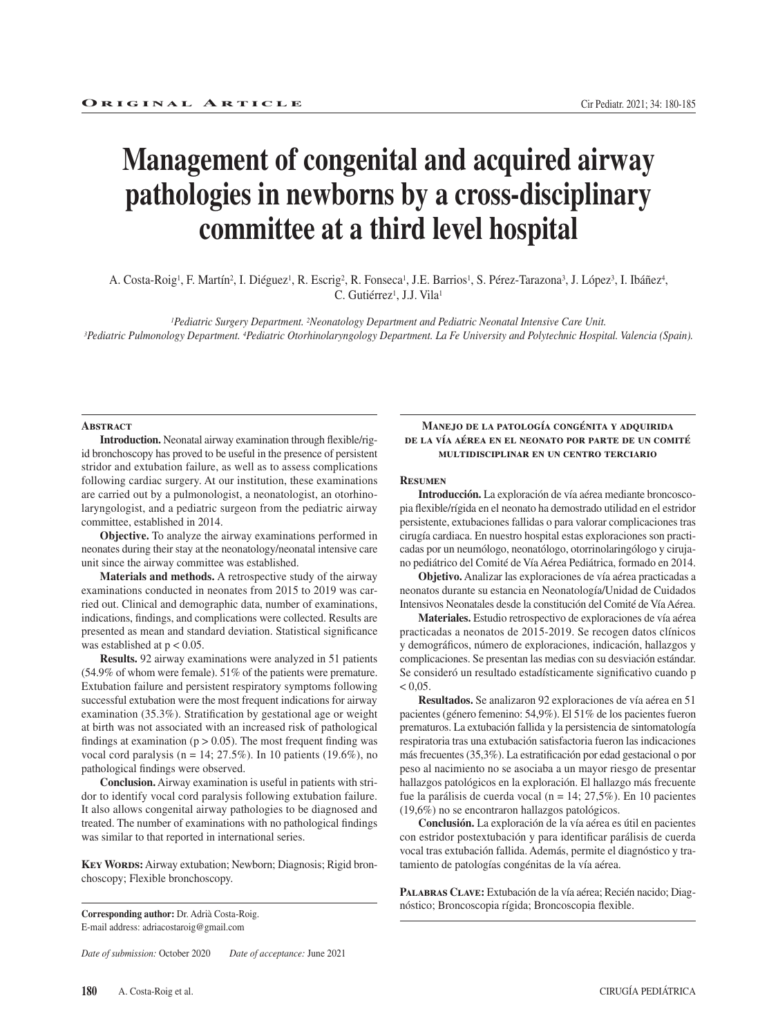# **Management of congenital and acquired airway pathologies in newborns by a cross-disciplinary committee at a third level hospital**

A. Costa-Roig<sup>1</sup>, F. Martín<sup>2</sup>, I. Diéguez<sup>1</sup>, R. Escrig<sup>2</sup>, R. Fonseca<sup>1</sup>, J.E. Barrios<sup>1</sup>, S. Pérez-Tarazona<sup>3</sup>, J. López<sup>3</sup>, I. Ibáñez<sup>4</sup>, C. Gutiérrez<sup>1</sup>, J.J. Vila<sup>1</sup>

-Pediatric Surgery Department. 2Neonatology Department and Pediatric Neonatal Intensive Care Unit.<br>(Spain). 3Pediatric Pulmonology Department. 4Pediatric Otorhinolaryngology Department. La Fe University and Polytechnic Hos

#### **ABSTRACT**

**Introduction.** Neonatal airway examination through flexible/rigid bronchoscopy has proved to be useful in the presence of persistent stridor and extubation failure, as well as to assess complications following cardiac surgery. At our institution, these examinations are carried out by a pulmonologist, a neonatologist, an otorhinolaryngologist, and a pediatric surgeon from the pediatric airway committee, established in 2014.

**Objective.** To analyze the airway examinations performed in neonates during their stay at the neonatology/neonatal intensive care unit since the airway committee was established.

**Materials and methods.** A retrospective study of the airway examinations conducted in neonates from 2015 to 2019 was carried out. Clinical and demographic data, number of examinations, indications, findings, and complications were collected. Results are presented as mean and standard deviation. Statistical significance was established at  $p < 0.05$ .

**Results.** 92 airway examinations were analyzed in 51 patients (54.9% of whom were female). 51% of the patients were premature. Extubation failure and persistent respiratory symptoms following successful extubation were the most frequent indications for airway examination (35.3%). Stratification by gestational age or weight at birth was not associated with an increased risk of pathological findings at examination ( $p > 0.05$ ). The most frequent finding was vocal cord paralysis ( $n = 14$ ; 27.5%). In 10 patients (19.6%), no pathological findings were observed.

**Conclusion.** Airway examination is useful in patients with stridor to identify vocal cord paralysis following extubation failure. It also allows congenital airway pathologies to be diagnosed and treated. The number of examinations with no pathological findings was similar to that reported in international series.

**Key Words:** Airway extubation; Newborn; Diagnosis; Rigid bronchoscopy; Flexible bronchoscopy.

**Corresponding author:** Dr. Adrià Costa-Roig. E-mail address: adriacostaroig@gmail.com

*Date of submission:* October 2020 *Date of acceptance:* June 2021

### **Manejo de la patología congénita y adquirida de la vía aérea en el neonato por parte de un comité multidisciplinar en un centro terciario**

#### **Resumen**

**Introducción.** La exploración de vía aérea mediante broncoscopia flexible/rígida en el neonato ha demostrado utilidad en el estridor persistente, extubaciones fallidas o para valorar complicaciones tras cirugía cardiaca. En nuestro hospital estas exploraciones son practicadas por un neumólogo, neonatólogo, otorrinolaringólogo y cirujano pediátrico del Comité de Vía Aérea Pediátrica, formado en 2014.

**Objetivo.** Analizar las exploraciones de vía aérea practicadas a neonatos durante su estancia en Neonatología/Unidad de Cuidados Intensivos Neonatales desde la constitución del Comité de Vía Aérea.

**Materiales.** Estudio retrospectivo de exploraciones de vía aérea practicadas a neonatos de 2015-2019. Se recogen datos clínicos y demográficos, número de exploraciones, indicación, hallazgos y complicaciones. Se presentan las medias con su desviación estándar. Se consideró un resultado estadísticamente significativo cuando p  $< 0.05$ .

**Resultados.** Se analizaron 92 exploraciones de vía aérea en 51 pacientes (género femenino: 54,9%). El 51% de los pacientes fueron prematuros. La extubación fallida y la persistencia de sintomatología respiratoria tras una extubación satisfactoria fueron las indicaciones más frecuentes (35,3%). La estratificación por edad gestacional o por peso al nacimiento no se asociaba a un mayor riesgo de presentar hallazgos patológicos en la exploración. El hallazgo más frecuente fue la parálisis de cuerda vocal (n = 14; 27,5%). En 10 pacientes (19,6%) no se encontraron hallazgos patológicos.

**Conclusión.** La exploración de la vía aérea es útil en pacientes con estridor postextubación y para identificar parálisis de cuerda vocal tras extubación fallida. Además, permite el diagnóstico y tratamiento de patologías congénitas de la vía aérea.

**Palabras Clave:** Extubación de la vía aérea; Recién nacido; Diagnóstico; Broncoscopia rígida; Broncoscopia flexible.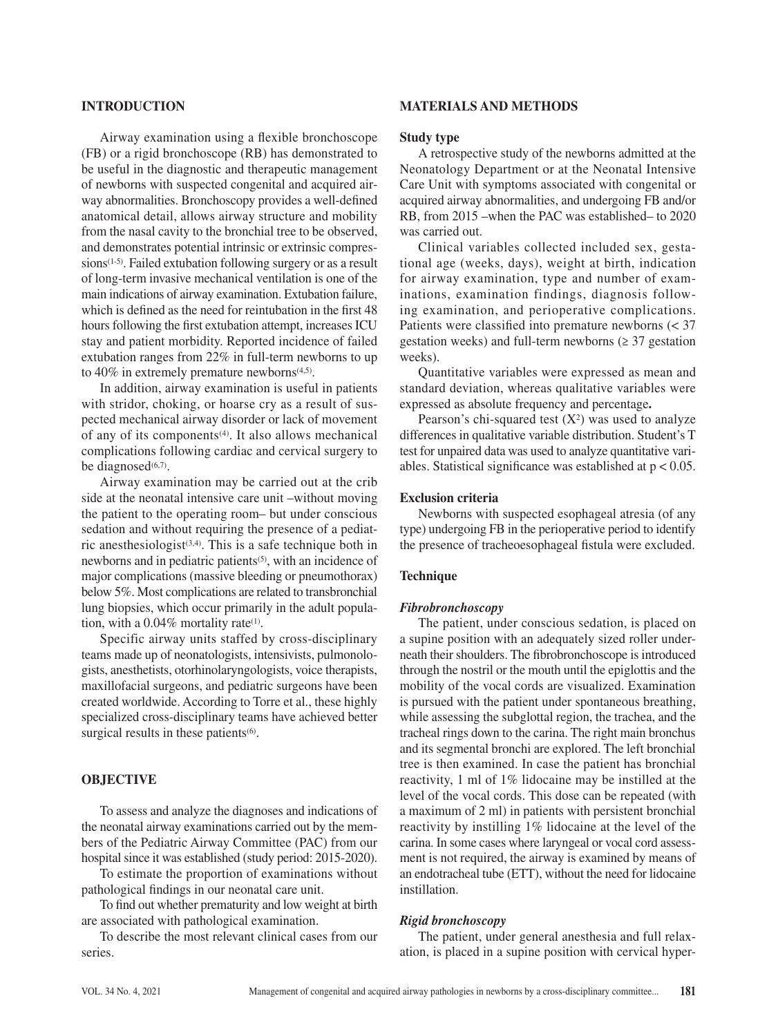# **INTRODUCTION**

Airway examination using a flexible bronchoscope (FB) or a rigid bronchoscope (RB) has demonstrated to be useful in the diagnostic and therapeutic management of newborns with suspected congenital and acquired airway abnormalities. Bronchoscopy provides a well-defined anatomical detail, allows airway structure and mobility from the nasal cavity to the bronchial tree to be observed, and demonstrates potential intrinsic or extrinsic compressions<sup>(1-5)</sup>. Failed extubation following surgery or as a result of long-term invasive mechanical ventilation is one of the main indications of airway examination. Extubation failure, which is defined as the need for reintubation in the first 48 hours following the first extubation attempt, increases ICU stay and patient morbidity. Reported incidence of failed extubation ranges from 22% in full-term newborns to up to  $40\%$  in extremely premature newborns<sup> $(4,5)$ </sup>.

In addition, airway examination is useful in patients with stridor, choking, or hoarse cry as a result of suspected mechanical airway disorder or lack of movement of any of its components<sup> $(4)$ </sup>. It also allows mechanical complications following cardiac and cervical surgery to be diagnosed $(6,7)$ .

Airway examination may be carried out at the crib side at the neonatal intensive care unit –without moving the patient to the operating room– but under conscious sedation and without requiring the presence of a pediatric anesthesiologist<sup> $(3,4)$ </sup>. This is a safe technique both in newborns and in pediatric patients<sup>(5)</sup>, with an incidence of major complications (massive bleeding or pneumothorax) below 5%. Most complications are related to transbronchial lung biopsies, which occur primarily in the adult population, with a 0.04% mortality rate<sup>(1)</sup>.

Specific airway units staffed by cross-disciplinary teams made up of neonatologists, intensivists, pulmonologists, anesthetists, otorhinolaryngologists, voice therapists, maxillofacial surgeons, and pediatric surgeons have been created worldwide. According to Torre et al., these highly specialized cross-disciplinary teams have achieved better surgical results in these patients<sup>(6)</sup>.

## **OBJECTIVE**

To assess and analyze the diagnoses and indications of the neonatal airway examinations carried out by the members of the Pediatric Airway Committee (PAC) from our hospital since it was established (study period: 2015-2020).

To estimate the proportion of examinations without pathological findings in our neonatal care unit.

To find out whether prematurity and low weight at birth are associated with pathological examination.

To describe the most relevant clinical cases from our series.

# **MATERIALS AND METHODS**

### **Study type**

A retrospective study of the newborns admitted at the Neonatology Department or at the Neonatal Intensive Care Unit with symptoms associated with congenital or acquired airway abnormalities, and undergoing FB and/or RB, from 2015 –when the PAC was established– to 2020 was carried out.

Clinical variables collected included sex, gestational age (weeks, days), weight at birth, indication for airway examination, type and number of examinations, examination findings, diagnosis following examination, and perioperative complications. Patients were classified into premature newborns (< 37 gestation weeks) and full-term newborns  $(≥ 37$  gestation weeks).

Quantitative variables were expressed as mean and standard deviation, whereas qualitative variables were expressed as absolute frequency and percentage**.**

Pearson's chi-squared test  $(X^2)$  was used to analyze differences in qualitative variable distribution. Student's T test for unpaired data was used to analyze quantitative variables. Statistical significance was established at  $p < 0.05$ .

### **Exclusion criteria**

Newborns with suspected esophageal atresia (of any type) undergoing FB in the perioperative period to identify the presence of tracheoesophageal fistula were excluded.

## **Technique**

## *Fibrobronchoscopy*

The patient, under conscious sedation, is placed on a supine position with an adequately sized roller underneath their shoulders. The fibrobronchoscope is introduced through the nostril or the mouth until the epiglottis and the mobility of the vocal cords are visualized. Examination is pursued with the patient under spontaneous breathing, while assessing the subglottal region, the trachea, and the tracheal rings down to the carina. The right main bronchus and its segmental bronchi are explored. The left bronchial tree is then examined. In case the patient has bronchial reactivity, 1 ml of 1% lidocaine may be instilled at the level of the vocal cords. This dose can be repeated (with a maximum of 2 ml) in patients with persistent bronchial reactivity by instilling 1% lidocaine at the level of the carina. In some cases where laryngeal or vocal cord assessment is not required, the airway is examined by means of an endotracheal tube (ETT), without the need for lidocaine instillation.

#### *Rigid bronchoscopy*

The patient, under general anesthesia and full relaxation, is placed in a supine position with cervical hyper-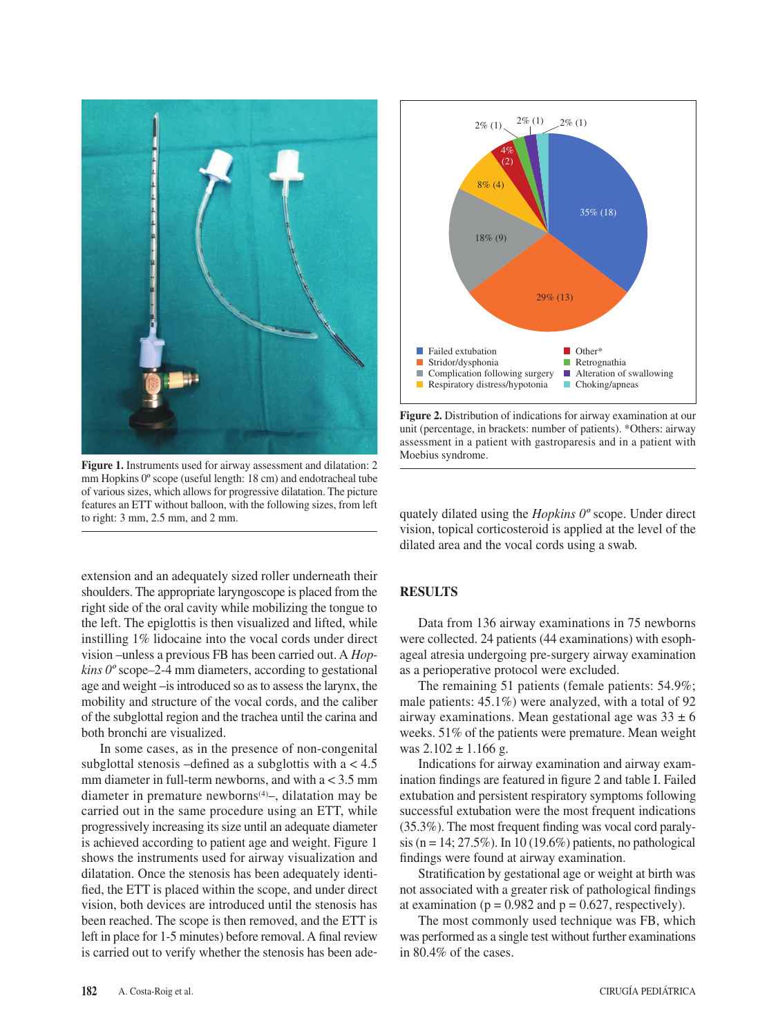

Figure 1. Instruments used for airway assessment and dilatation: 2 mm Hopkins 0º scope (useful length: 18 cm) and endotracheal tube of various sizes, which allows for progressive dilatation. The picture features an ETT without balloon, with the following sizes, from left to right: 3 mm, 2.5 mm, and 2 mm.

extension and an adequately sized roller underneath their shoulders. The appropriate laryngoscope is placed from the right side of the oral cavity while mobilizing the tongue to the left. The epiglottis is then visualized and lifted, while instilling 1% lidocaine into the vocal cords under direct vision –unless a previous FB has been carried out. A *Hopkins 0º* scope*–*2-4 mm diameters, according to gestational age and weight –is introduced so as to assess the larynx, the mobility and structure of the vocal cords, and the caliber of the subglottal region and the trachea until the carina and both bronchi are visualized.

In some cases, as in the presence of non-congenital subglottal stenosis –defined as a subglottis with  $a < 4.5$ mm diameter in full-term newborns, and with  $a < 3.5$  mm diameter in premature newborns $(4)$ –, dilatation may be carried out in the same procedure using an ETT, while progressively increasing its size until an adequate diameter is achieved according to patient age and weight. Figure 1 shows the instruments used for airway visualization and dilatation. Once the stenosis has been adequately identified, the ETT is placed within the scope, and under direct vision, both devices are introduced until the stenosis has been reached. The scope is then removed, and the ETT is left in place for 1-5 minutes) before removal. A final review is carried out to verify whether the stenosis has been ade-



**Figure 2.** Distribution of indications for airway examination at our unit (percentage, in brackets: number of patients). \*Others: airway assessment in a patient with gastroparesis and in a patient with Moebius syndrome.

quately dilated using the *Hopkins 0º* scope. Under direct vision, topical corticosteroid is applied at the level of the dilated area and the vocal cords using a swab.

## **RESULTS**

Data from 136 airway examinations in 75 newborns were collected. 24 patients (44 examinations) with esophageal atresia undergoing pre-surgery airway examination as a perioperative protocol were excluded.

The remaining 51 patients (female patients: 54.9%; male patients: 45.1%) were analyzed, with a total of 92 airway examinations. Mean gestational age was  $33 \pm 6$ weeks. 51% of the patients were premature. Mean weight was  $2.102 \pm 1.166$  g.

Indications for airway examination and airway examination findings are featured in figure 2 and table I. Failed extubation and persistent respiratory symptoms following successful extubation were the most frequent indications (35.3%). The most frequent finding was vocal cord paralysis (n = 14; 27.5%). In 10 (19.6%) patients, no pathological findings were found at airway examination.

Stratification by gestational age or weight at birth was not associated with a greater risk of pathological findings at examination ( $p = 0.982$  and  $p = 0.627$ , respectively).

The most commonly used technique was FB, which was performed as a single test without further examinations in 80.4% of the cases.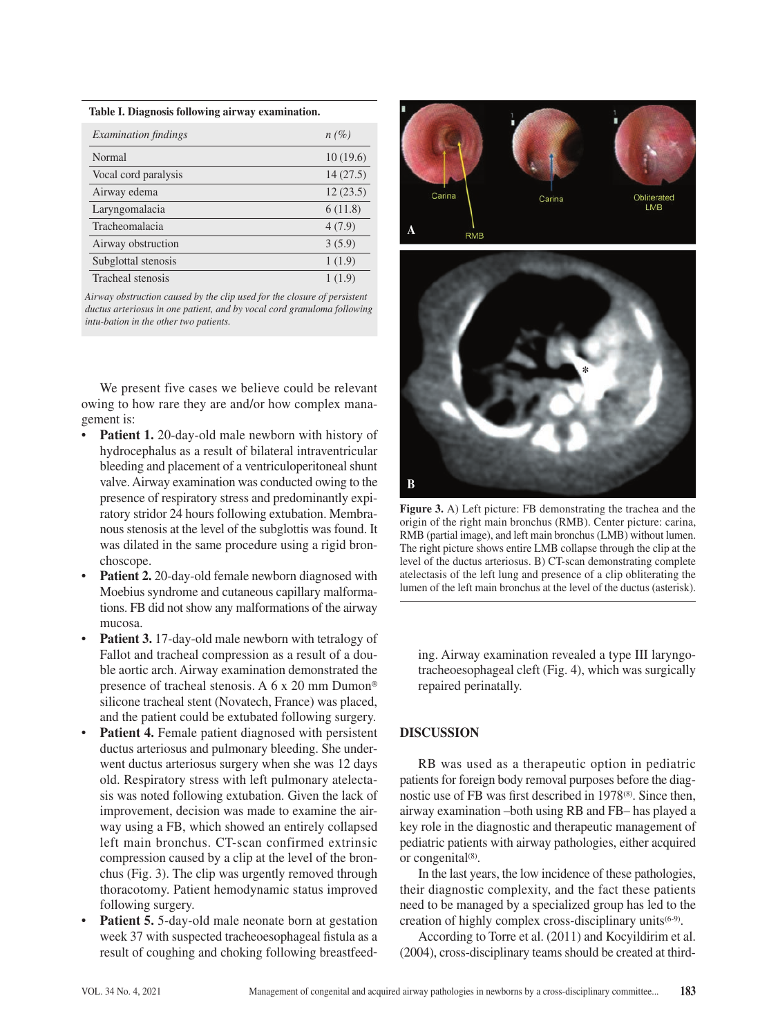#### **Table I. Diagnosis following airway examination.**

| <i>Examination findings</i> | $n(\%)$  |
|-----------------------------|----------|
| Normal                      | 10(19.6) |
| Vocal cord paralysis        | 14(27.5) |
| Airway edema                | 12(23.5) |
| Laryngomalacia              | 6(11.8)  |
| Tracheomalacia              | 4(7.9)   |
| Airway obstruction          | 3(5.9)   |
| Subglottal stenosis         | 1(1.9)   |
| Tracheal stenosis           | 1(1.9)   |

*Airway obstruction caused by the clip used for the closure of persistent ductus arteriosus in one patient, and by vocal cord granuloma following intu-bation in the other two patients.*

We present five cases we believe could be relevant owing to how rare they are and/or how complex management is:

- **Patient 1.** 20-day-old male newborn with history of hydrocephalus as a result of bilateral intraventricular bleeding and placement of a ventriculoperitoneal shunt valve. Airway examination was conducted owing to the presence of respiratory stress and predominantly expiratory stridor 24 hours following extubation. Membranous stenosis at the level of the subglottis was found. It was dilated in the same procedure using a rigid bronchoscope.
- **Patient 2.** 20-day-old female newborn diagnosed with Moebius syndrome and cutaneous capillary malformations. FB did not show any malformations of the airway mucosa.
- Patient 3.17-day-old male newborn with tetralogy of Fallot and tracheal compression as a result of a double aortic arch. Airway examination demonstrated the presence of tracheal stenosis. A 6 x 20 mm Dumon® silicone tracheal stent (Novatech, France) was placed, and the patient could be extubated following surgery.
- Patient 4. Female patient diagnosed with persistent ductus arteriosus and pulmonary bleeding. She underwent ductus arteriosus surgery when she was 12 days old. Respiratory stress with left pulmonary atelectasis was noted following extubation. Given the lack of improvement, decision was made to examine the airway using a FB, which showed an entirely collapsed left main bronchus. CT-scan confirmed extrinsic compression caused by a clip at the level of the bronchus (Fig. 3). The clip was urgently removed through thoracotomy. Patient hemodynamic status improved following surgery.
- **Patient 5.** 5-day-old male neonate born at gestation week 37 with suspected tracheoesophageal fistula as a result of coughing and choking following breastfeed-



![](_page_3_Picture_10.jpeg)

**Figure 3.** A) Left picture: FB demonstrating the trachea and the origin of the right main bronchus (RMB). Center picture: carina, RMB (partial image), and left main bronchus (LMB) without lumen. The right picture shows entire LMB collapse through the clip at the level of the ductus arteriosus. B) CT-scan demonstrating complete atelectasis of the left lung and presence of a clip obliterating the lumen of the left main bronchus at the level of the ductus (asterisk).

ing. Airway examination revealed a type III laryngotracheoesophageal cleft (Fig. 4), which was surgically repaired perinatally.

## **DISCUSSION**

RB was used as a therapeutic option in pediatric patients for foreign body removal purposes before the diagnostic use of FB was first described in 1978<sup>(8)</sup>. Since then, airway examination –both using RB and FB– has played a key role in the diagnostic and therapeutic management of pediatric patients with airway pathologies, either acquired or congenital<sup>(8)</sup>.

In the last years, the low incidence of these pathologies, their diagnostic complexity, and the fact these patients need to be managed by a specialized group has led to the creation of highly complex cross-disciplinary units(6-9).

According to Torre et al. (2011) and Kocyildirim et al. (2004), cross-disciplinary teams should be created at third-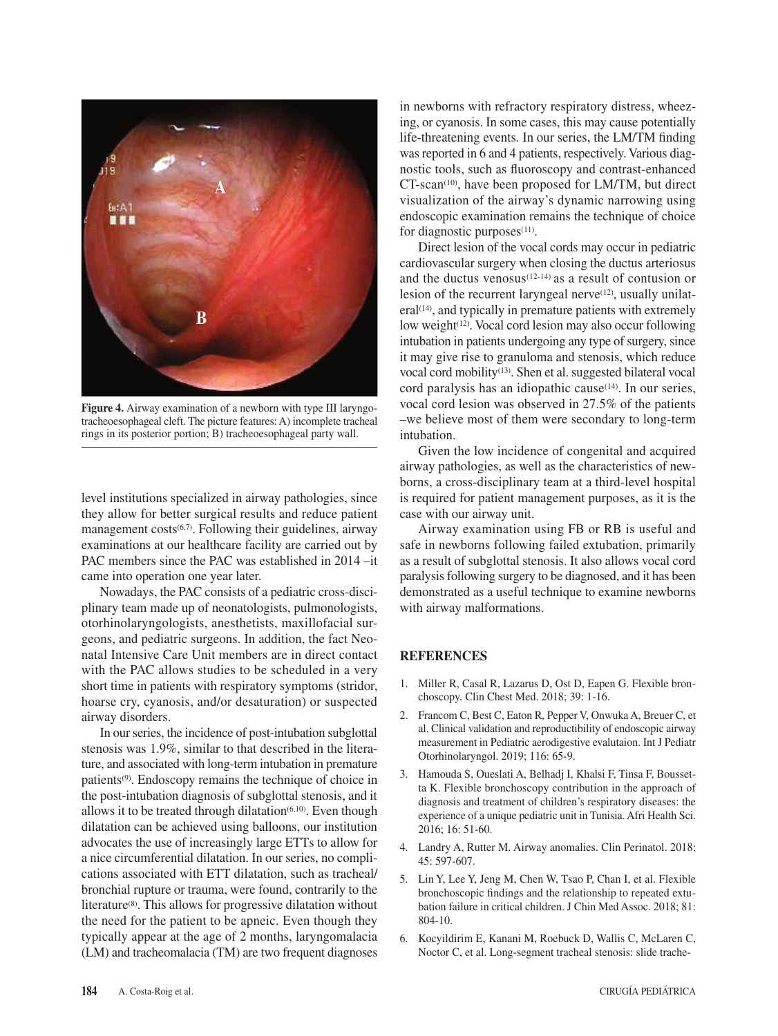![](_page_4_Picture_0.jpeg)

**Figure 4.** Airway examination of a newborn with type III laryngotracheoesophageal cleft. The picture features: A) incomplete tracheal rings in its posterior portion; B) tracheoesophageal party wall.

level institutions specialized in airway pathologies, since they allow for better surgical results and reduce patient management costs<sup>(6,7)</sup>. Following their guidelines, airway examinations at our healthcare facility are carried out by PAC members since the PAC was established in 2014 –it came into operation one year later.

Nowadays, the PAC consists of a pediatric cross-disciplinary team made up of neonatologists, pulmonologists, otorhinolaryngologists, anesthetists, maxillofacial surgeons, and pediatric surgeons. In addition, the fact Neonatal Intensive Care Unit members are in direct contact with the PAC allows studies to be scheduled in a very short time in patients with respiratory symptoms (stridor, hoarse cry, cyanosis, and/or desaturation) or suspected airway disorders.

In our series, the incidence of post-intubation subglottal stenosis was 1.9%, similar to that described in the literature, and associated with long-term intubation in premature patients(9). Endoscopy remains the technique of choice in the post-intubation diagnosis of subglottal stenosis, and it allows it to be treated through dilatation $(6,10)$ . Even though dilatation can be achieved using balloons, our institution advocates the use of increasingly large ETTs to allow for a nice circumferential dilatation. In our series, no complications associated with ETT dilatation, such as tracheal/ bronchial rupture or trauma, were found, contrarily to the literature(8). This allows for progressive dilatation without the need for the patient to be apneic. Even though they typically appear at the age of 2 months, laryngomalacia (LM) and tracheomalacia (TM) are two frequent diagnoses

in newborns with refractory respiratory distress, wheezing, or cyanosis. In some cases, this may cause potentially life-threatening events. In our series, the LM/TM finding was reported in 6 and 4 patients, respectively. Various diagnostic tools, such as fluoroscopy and contrast-enhanced CT-scan<sup>(10)</sup>, have been proposed for LM/TM, but direct visualization of the airway's dynamic narrowing using endoscopic examination remains the technique of choice for diagnostic purposes $(11)$ .

Direct lesion of the vocal cords may occur in pediatric cardiovascular surgery when closing the ductus arteriosus and the ductus venosus $(12-14)$  as a result of contusion or lesion of the recurrent laryngeal nerve<sup>(12)</sup>, usually unilat $eral<sup>(14)</sup>$ , and typically in premature patients with extremely low weight $(12)$ . Vocal cord lesion may also occur following intubation in patients undergoing any type of surgery, since it may give rise to granuloma and stenosis, which reduce vocal cord mobility(13). Shen et al. suggested bilateral vocal cord paralysis has an idiopathic cause<sup>(14)</sup>. In our series, vocal cord lesion was observed in 27.5% of the patients –we believe most of them were secondary to long-term intubation.

Given the low incidence of congenital and acquired airway pathologies, as well as the characteristics of newborns, a cross-disciplinary team at a third-level hospital is required for patient management purposes, as it is the case with our airway unit.

Airway examination using FB or RB is useful and safe in newborns following failed extubation, primarily as a result of subglottal stenosis. It also allows vocal cord paralysis following surgery to be diagnosed, and it has been demonstrated as a useful technique to examine newborns with airway malformations.

# **REFERENCES**

- 1. Miller R, Casal R, Lazarus D, Ost D, Eapen G. Flexible bronchoscopy. Clin Chest Med. 2018; 39: 1-16.
- 2. Francom C, Best C, Eaton R, Pepper V, Onwuka A, Breuer C, et al. Clinical validation and reproductibility of endoscopic airway measurement in Pediatric aerodigestive evalutaion. Int J Pediatr Otorhinolaryngol. 2019; 116: 65-9.
- 3. Hamouda S, Oueslati A, Belhadj I, Khalsi F, Tinsa F, Boussetta K. Flexible bronchoscopy contribution in the approach of diagnosis and treatment of children's respiratory diseases: the experience of a unique pediatric unit in Tunisia. Afri Health Sci. 2016; 16: 51-60.
- 4. Landry A, Rutter M. Airway anomalies. Clin Perinatol. 2018; 45: 597-607.
- 5. Lin Y, Lee Y, Jeng M, Chen W, Tsao P, Chan I, et al. Flexible bronchoscopic findings and the relationship to repeated extubation failure in critical children. J Chin Med Assoc. 2018; 81: 804-10.
- 6. Kocyildirim E, Kanani M, Roebuck D, Wallis C, McLaren C, Noctor C, et al. Long-segment tracheal stenosis: slide trache-